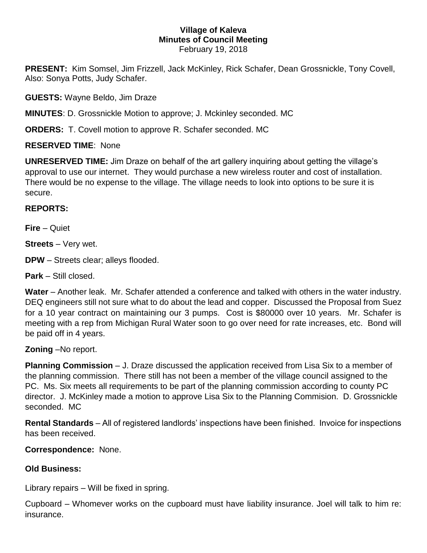#### **Village of Kaleva Minutes of Council Meeting** February 19, 2018

**PRESENT:** Kim Somsel, Jim Frizzell, Jack McKinley, Rick Schafer, Dean Grossnickle, Tony Covell, Also: Sonya Potts, Judy Schafer.

**GUESTS:** Wayne Beldo, Jim Draze

**MINUTES**: D. Grossnickle Motion to approve; J. Mckinley seconded. MC

**ORDERS:** T. Covell motion to approve R. Schafer seconded. MC

## **RESERVED TIME**: None

**UNRESERVED TIME:** Jim Draze on behalf of the art gallery inquiring about getting the village's approval to use our internet. They would purchase a new wireless router and cost of installation. There would be no expense to the village. The village needs to look into options to be sure it is secure.

## **REPORTS:**

**Fire** – Quiet

**Streets** – Very wet.

**DPW** – Streets clear; alleys flooded.

**Park** – Still closed.

**Water** – Another leak. Mr. Schafer attended a conference and talked with others in the water industry. DEQ engineers still not sure what to do about the lead and copper. Discussed the Proposal from Suez for a 10 year contract on maintaining our 3 pumps. Cost is \$80000 over 10 years. Mr. Schafer is meeting with a rep from Michigan Rural Water soon to go over need for rate increases, etc. Bond will be paid off in 4 years.

**Zoning** –No report.

**Planning Commission** – J. Draze discussed the application received from Lisa Six to a member of the planning commission. There still has not been a member of the village council assigned to the PC. Ms. Six meets all requirements to be part of the planning commission according to county PC director. J. McKinley made a motion to approve Lisa Six to the Planning Commision. D. Grossnickle seconded. MC

**Rental Standards** – All of registered landlords' inspections have been finished. Invoice for inspections has been received.

**Correspondence:** None.

# **Old Business:**

Library repairs – Will be fixed in spring.

Cupboard – Whomever works on the cupboard must have liability insurance. Joel will talk to him re: insurance.